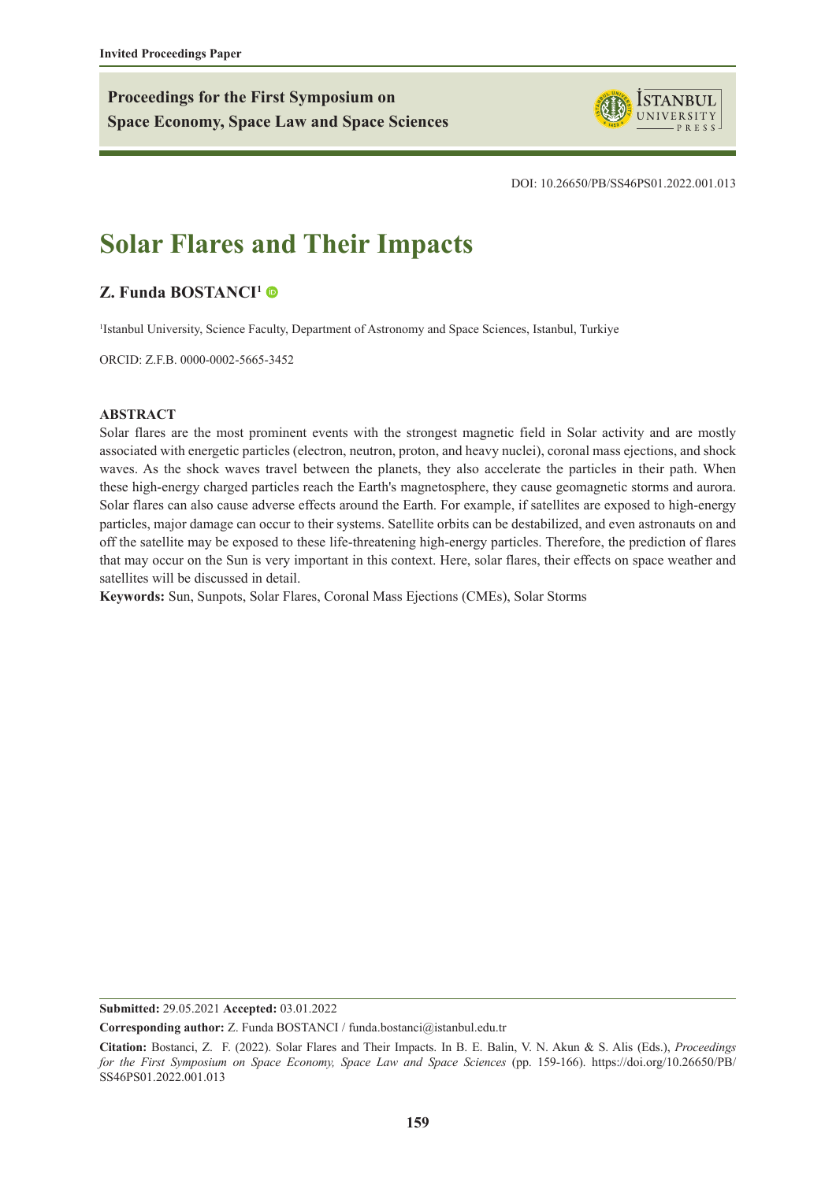**Proceedings for the First Symposium on Space Economy, Space Law and Space Sciences**



DOI: 10.26650/PB/SS46PS01.2022.001.013

# **Solar Flares and Their Impacts**

## **[Z. Funda BOSTANCI1](https://orcid.org/0000-0002-5665-3452)**

1 Istanbul University, Science Faculty, Department of Astronomy and Space Sciences, Istanbul, Turkiye

ORCID: Z.F.B. 0000-0002-5665-3452

#### **ABSTRACT**

Solar flares are the most prominent events with the strongest magnetic field in Solar activity and are mostly associated with energetic particles (electron, neutron, proton, and heavy nuclei), coronal mass ejections, and shock waves. As the shock waves travel between the planets, they also accelerate the particles in their path. When these high-energy charged particles reach the Earth's magnetosphere, they cause geomagnetic storms and aurora. Solar flares can also cause adverse effects around the Earth. For example, if satellites are exposed to high-energy particles, major damage can occur to their systems. Satellite orbits can be destabilized, and even astronauts on and off the satellite may be exposed to these life-threatening high-energy particles. Therefore, the prediction of flares that may occur on the Sun is very important in this context. Here, solar flares, their effects on space weather and satellites will be discussed in detail.

**Keywords:** Sun, Sunpots, Solar Flares, Coronal Mass Ejections (CMEs), Solar Storms

**Submitted:** 29.05.2021 **Accepted:** 03.01.2022

**Corresponding author:** Z. Funda BOSTANCI / funda.bostanci@istanbul.edu.tr

**Citation:** Bostanci, Z. F. (2022). Solar Flares and Their Impacts. In B. E. Balin, V. N. Akun & S. Alis (Eds.), *Proceedings for the First Symposium on Space Economy, Space Law and Space Sciences* (pp. 159-166). https://doi.org/10.26650/PB/ SS46PS01.2022.001.013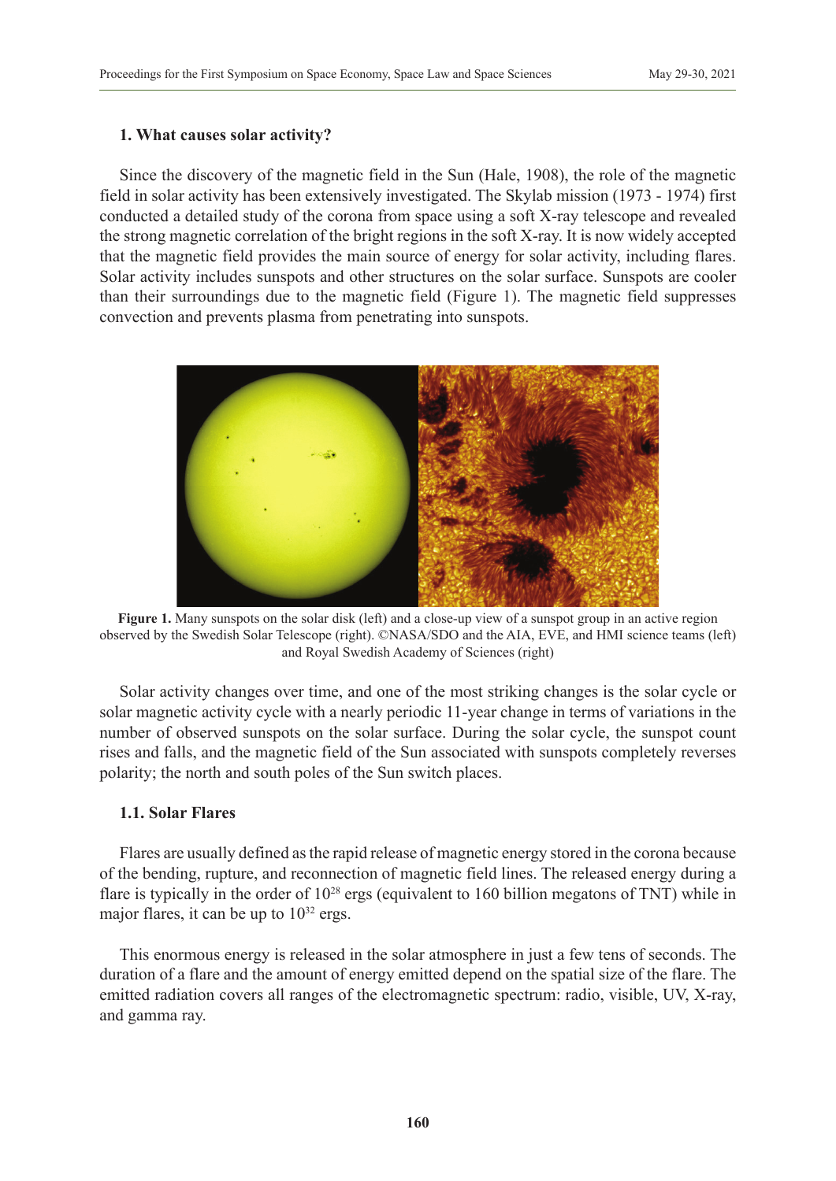## **1. What causes solar activity?**

Since the discovery of the magnetic field in the Sun (Hale, 1908), the role of the magnetic field in solar activity has been extensively investigated. The Skylab mission (1973 - 1974) first conducted a detailed study of the corona from space using a soft X-ray telescope and revealed the strong magnetic correlation of the bright regions in the soft X-ray. It is now widely accepted that the magnetic field provides the main source of energy for solar activity, including flares. Solar activity includes sunspots and other structures on the solar surface. Sunspots are cooler than their surroundings due to the magnetic field (Figure 1). The magnetic field suppresses convection and prevents plasma from penetrating into sunspots.



**Figure 1.** Many sunspots on the solar disk (left) and a close-up view of a sunspot group in an active region observed by the Swedish Solar Telescope (right). ©NASA/SDO and the AIA, EVE, and HMI science teams (left) and Royal Swedish Academy of Sciences (right)

Solar activity changes over time, and one of the most striking changes is the solar cycle or solar magnetic activity cycle with a nearly periodic 11-year change in terms of variations in the number of observed sunspots on the solar surface. During the solar cycle, the sunspot count rises and falls, and the magnetic field of the Sun associated with sunspots completely reverses polarity; the north and south poles of the Sun switch places.

## **1.1. Solar Flares**

Flares are usually defined as the rapid release of magnetic energy stored in the corona because of the bending, rupture, and reconnection of magnetic field lines. The released energy during a flare is typically in the order of  $10^{28}$  ergs (equivalent to 160 billion megatons of TNT) while in major flares, it can be up to  $10^{32}$  ergs.

This enormous energy is released in the solar atmosphere in just a few tens of seconds. The duration of a flare and the amount of energy emitted depend on the spatial size of the flare. The emitted radiation covers all ranges of the electromagnetic spectrum: radio, visible, UV, X-ray, and gamma ray.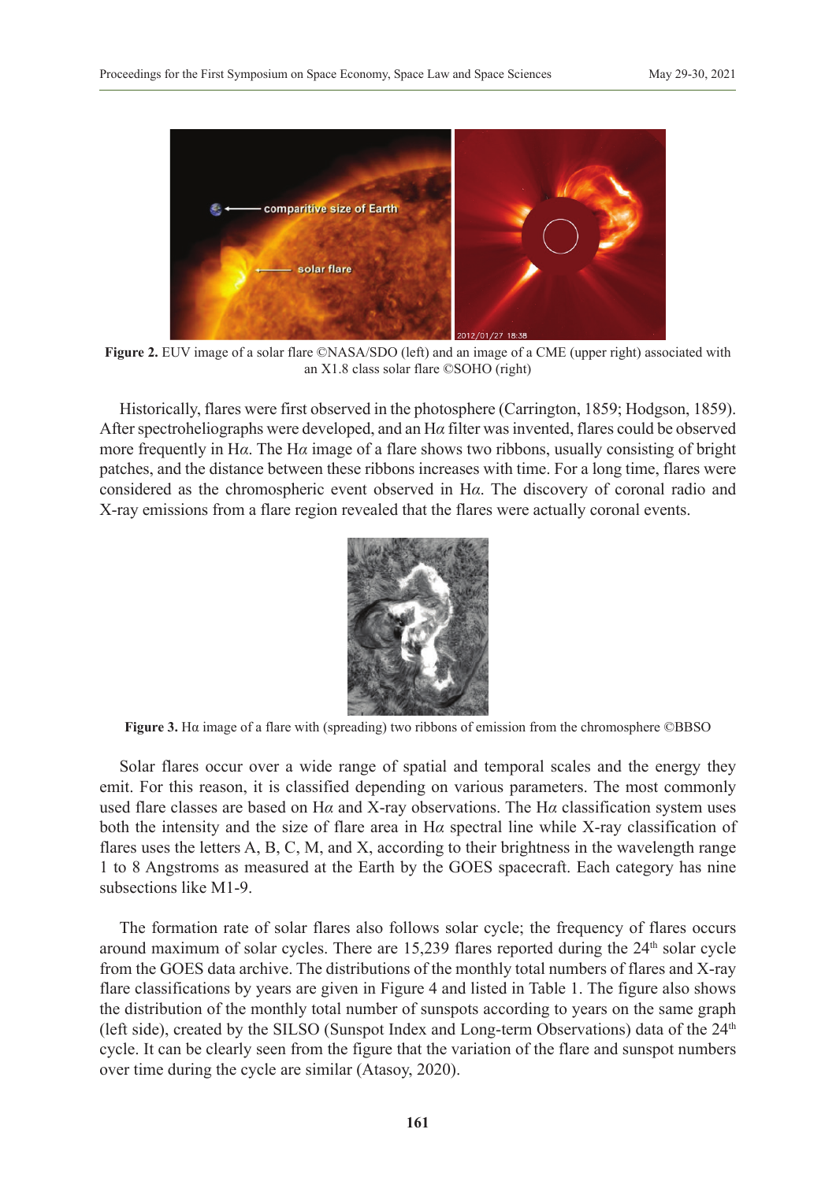

**Figure 2.** EUV image of a solar flare ©NASA/SDO (left) and an image of a CME (upper right) associated with an X1.8 class solar flare ©SOHO (right)

Historically, flares were first observed in the photosphere (Carrington, 1859; Hodgson, 1859). After spectroheliographs were developed, and an H*α* filter was invented, flares could be observed more frequently in H*α*. The H*α* image of a flare shows two ribbons, usually consisting of bright patches, and the distance between these ribbons increases with time. For a long time, flares were considered as the chromospheric event observed in H*α*. The discovery of coronal radio and X-ray emissions from a flare region revealed that the flares were actually coronal events.



**Figure 3.** Hα image of a flare with (spreading) two ribbons of emission from the chromosphere ©BBSO

Solar flares occur over a wide range of spatial and temporal scales and the energy they emit. For this reason, it is classified depending on various parameters. The most commonly used flare classes are based on H*α* and X-ray observations. The H*α* classification system uses both the intensity and the size of flare area in H*α* spectral line while X-ray classification of flares uses the letters A, B, C, M, and X, according to their brightness in the wavelength range 1 to 8 Angstroms as measured at the Earth by the GOES spacecraft. Each category has nine subsections like M1-9.

The formation rate of solar flares also follows solar cycle; the frequency of flares occurs around maximum of solar cycles. There are  $15,239$  flares reported during the  $24<sup>th</sup>$  solar cycle from the GOES data archive. The distributions of the monthly total numbers of flares and X-ray flare classifications by years are given in Figure 4 and listed in Table 1. The figure also shows the distribution of the monthly total number of sunspots according to years on the same graph (left side), created by the SILSO (Sunspot Index and Long-term Observations) data of the  $24<sup>th</sup>$ cycle. It can be clearly seen from the figure that the variation of the flare and sunspot numbers over time during the cycle are similar (Atasoy, 2020).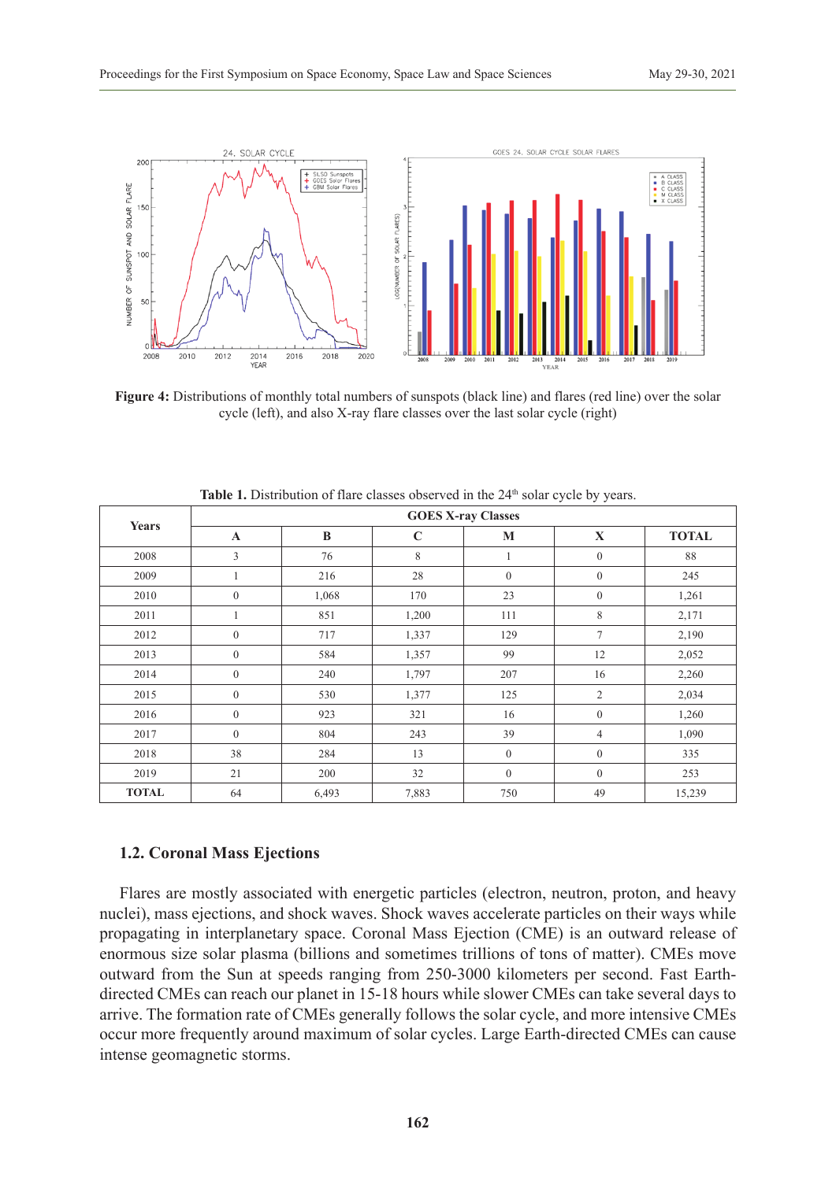

**Figure 4:** Distributions of monthly total numbers of sunspots (black line) and flares (red line) over the solar cycle (left), and also X-ray flare classes over the last solar cycle (right)

| Years        | <b>GOES X-ray Classes</b> |          |             |                |                |              |
|--------------|---------------------------|----------|-------------|----------------|----------------|--------------|
|              | $\mathbf{A}$              | $\bf{B}$ | $\mathbf C$ | M              | X              | <b>TOTAL</b> |
| 2008         | 3                         | 76       | 8           |                | $\mathbf{0}$   | 88           |
| 2009         |                           | 216      | 28          | $\overline{0}$ | $\overline{0}$ | 245          |
| 2010         | $\mathbf{0}$              | 1,068    | 170         | 23             | $\mathbf{0}$   | 1,261        |
| 2011         |                           | 851      | 1,200       | 111            | 8              | 2,171        |
| 2012         | $\theta$                  | 717      | 1,337       | 129            | $\tau$         | 2,190        |
| 2013         | $\boldsymbol{0}$          | 584      | 1,357       | 99             | 12             | 2,052        |
| 2014         | $\mathbf{0}$              | 240      | 1,797       | 207            | 16             | 2,260        |
| 2015         | $\mathbf{0}$              | 530      | 1,377       | 125            | $\overline{2}$ | 2,034        |
| 2016         | $\mathbf{0}$              | 923      | 321         | 16             | $\mathbf{0}$   | 1,260        |
| 2017         | $\mathbf{0}$              | 804      | 243         | 39             | $\overline{4}$ | 1,090        |
| 2018         | 38                        | 284      | 13          | $\overline{0}$ | $\overline{0}$ | 335          |
| 2019         | 21                        | 200      | 32          | $\mathbf{0}$   | $\mathbf{0}$   | 253          |
| <b>TOTAL</b> | 64                        | 6,493    | 7,883       | 750            | 49             | 15,239       |

**Table 1.** Distribution of flare classes observed in the 24<sup>th</sup> solar cycle by years.

#### **1.2. Coronal Mass Ejections**

Flares are mostly associated with energetic particles (electron, neutron, proton, and heavy nuclei), mass ejections, and shock waves. Shock waves accelerate particles on their ways while propagating in interplanetary space. Coronal Mass Ejection (CME) is an outward release of enormous size solar plasma (billions and sometimes trillions of tons of matter). CMEs move outward from the Sun at speeds ranging from 250-3000 kilometers per second. Fast Earthdirected CMEs can reach our planet in 15-18 hours while slower CMEs can take several days to arrive. The formation rate of CMEs generally follows the solar cycle, and more intensive CMEs occur more frequently around maximum of solar cycles. Large Earth-directed CMEs can cause intense geomagnetic storms.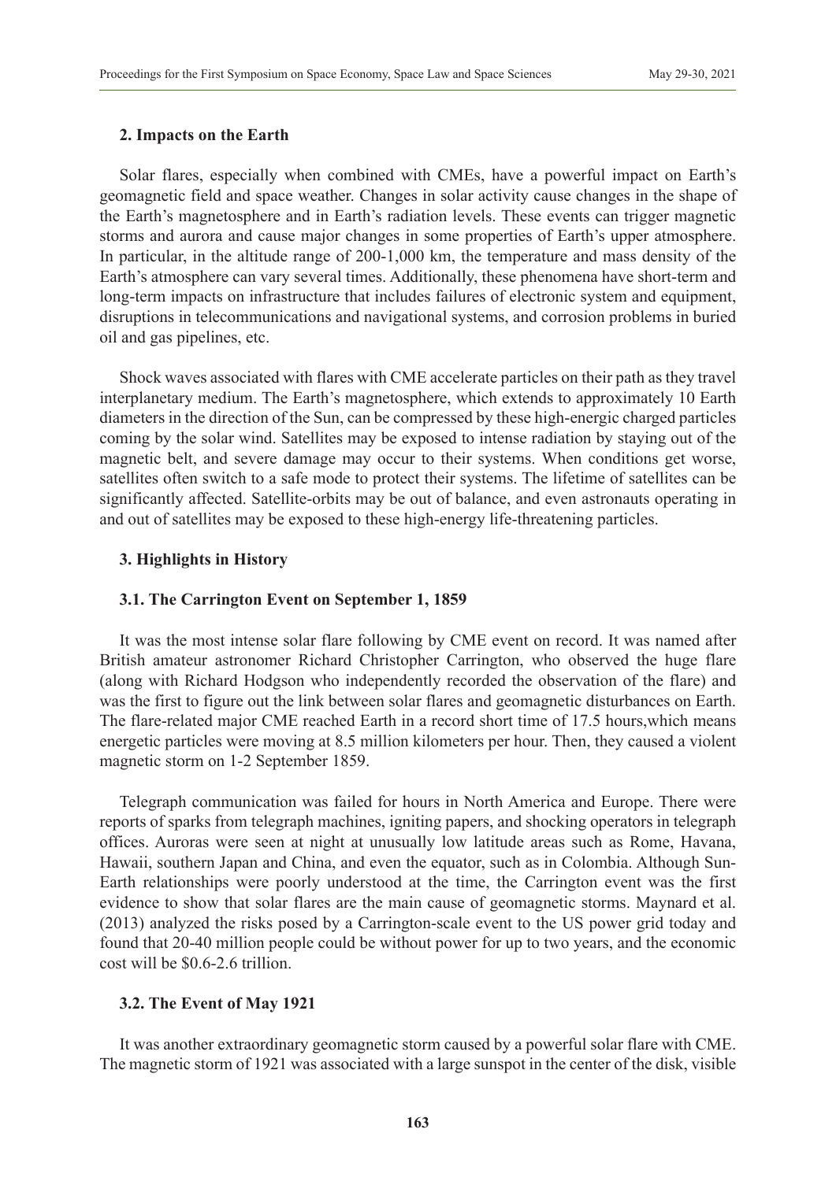#### **2. Impacts on the Earth**

Solar flares, especially when combined with CMEs, have a powerful impact on Earth's geomagnetic field and space weather. Changes in solar activity cause changes in the shape of the Earth's magnetosphere and in Earth's radiation levels. These events can trigger magnetic storms and aurora and cause major changes in some properties of Earth's upper atmosphere. In particular, in the altitude range of 200-1,000 km, the temperature and mass density of the Earth's atmosphere can vary several times. Additionally, these phenomena have short-term and long-term impacts on infrastructure that includes failures of electronic system and equipment, disruptions in telecommunications and navigational systems, and corrosion problems in buried oil and gas pipelines, etc.

Shock waves associated with flares with CME accelerate particles on their path as they travel interplanetary medium. The Earth's magnetosphere, which extends to approximately 10 Earth diameters in the direction of the Sun, can be compressed by these high-energic charged particles coming by the solar wind. Satellites may be exposed to intense radiation by staying out of the magnetic belt, and severe damage may occur to their systems. When conditions get worse, satellites often switch to a safe mode to protect their systems. The lifetime of satellites can be significantly affected. Satellite-orbits may be out of balance, and even astronauts operating in and out of satellites may be exposed to these high-energy life-threatening particles.

## **3. Highlights in History**

#### **3.1. The Carrington Event on September 1, 1859**

It was the most intense solar flare following by CME event on record. It was named after British amateur astronomer Richard Christopher Carrington, who observed the huge flare (along with Richard Hodgson who independently recorded the observation of the flare) and was the first to figure out the link between solar flares and geomagnetic disturbances on Earth. The flare-related major CME reached Earth in a record short time of 17.5 hours,which means energetic particles were moving at 8.5 million kilometers per hour. Then, they caused a violent magnetic storm on 1-2 September 1859.

Telegraph communication was failed for hours in North America and Europe. There were reports of sparks from telegraph machines, igniting papers, and shocking operators in telegraph offices. Auroras were seen at night at unusually low latitude areas such as Rome, Havana, Hawaii, southern Japan and China, and even the equator, such as in Colombia. Although Sun-Earth relationships were poorly understood at the time, the Carrington event was the first evidence to show that solar flares are the main cause of geomagnetic storms. Maynard et al. (2013) analyzed the risks posed by a Carrington-scale event to the US power grid today and found that 20-40 million people could be without power for up to two years, and the economic cost will be \$0.6-2.6 trillion.

## **3.2. The Event of May 1921**

It was another extraordinary geomagnetic storm caused by a powerful solar flare with CME. The magnetic storm of 1921 was associated with a large sunspot in the center of the disk, visible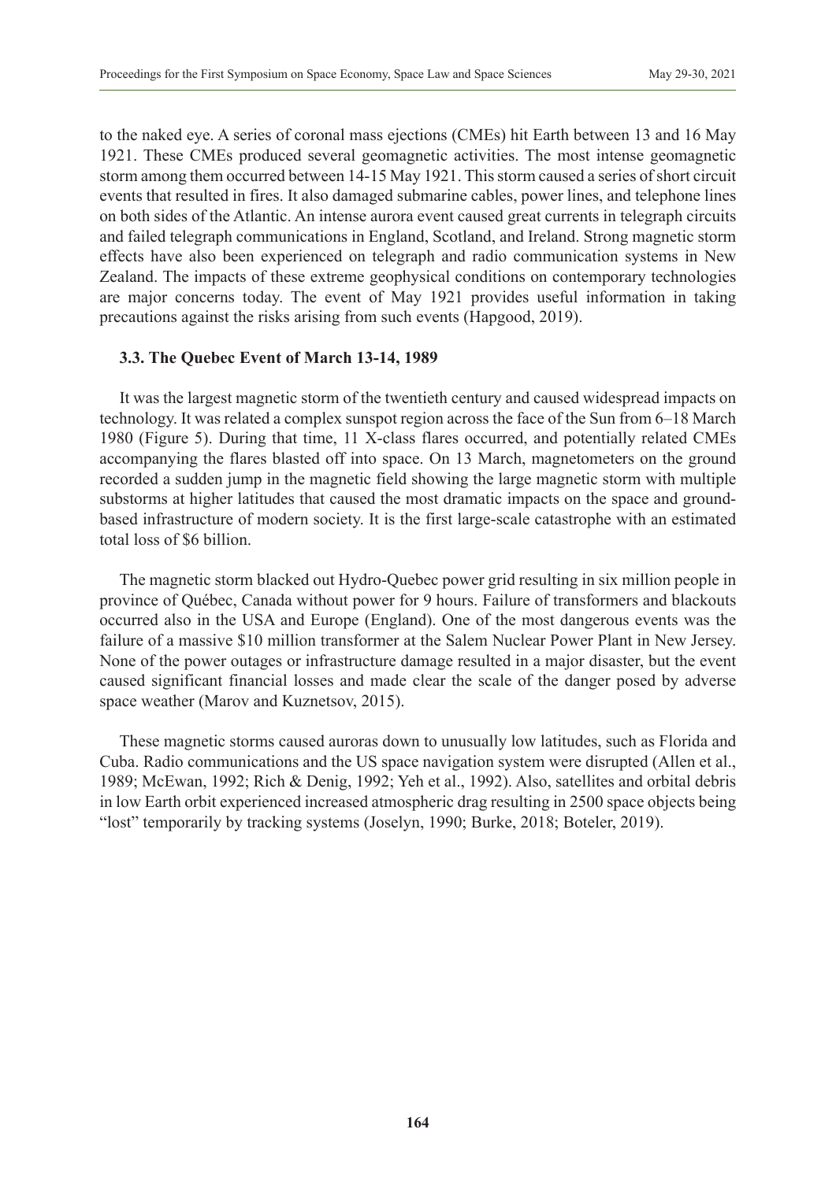to the naked eye. A series of coronal mass ejections (CMEs) hit Earth between 13 and 16 May 1921. These CMEs produced several geomagnetic activities. The most intense geomagnetic storm among them occurred between 14-15 May 1921. This storm caused a series of short circuit events that resulted in fires. It also damaged submarine cables, power lines, and telephone lines on both sides of the Atlantic. An intense aurora event caused great currents in telegraph circuits and failed telegraph communications in England, Scotland, and Ireland. Strong magnetic storm effects have also been experienced on telegraph and radio communication systems in New Zealand. The impacts of these extreme geophysical conditions on contemporary technologies are major concerns today. The event of May 1921 provides useful information in taking precautions against the risks arising from such events (Hapgood, 2019).

#### **3.3. The Quebec Event of March 13-14, 1989**

It was the largest magnetic storm of the twentieth century and caused widespread impacts on technology. It was related a complex sunspot region across the face of the Sun from 6–18 March 1980 (Figure 5). During that time, 11 X-class flares occurred, and potentially related CMEs accompanying the flares blasted off into space. On 13 March, magnetometers on the ground recorded a sudden jump in the magnetic field showing the large magnetic storm with multiple substorms at higher latitudes that caused the most dramatic impacts on the space and groundbased infrastructure of modern society. It is the first large-scale catastrophe with an estimated total loss of \$6 billion.

The magnetic storm blacked out Hydro-Quebec power grid resulting in six million people in province of Québec, Canada without power for 9 hours. Failure of transformers and blackouts occurred also in the USA and Europe (England). One of the most dangerous events was the failure of a massive \$10 million transformer at the Salem Nuclear Power Plant in New Jersey. None of the power outages or infrastructure damage resulted in a major disaster, but the event caused significant financial losses and made clear the scale of the danger posed by adverse space weather (Marov and Kuznetsov, 2015).

These magnetic storms caused auroras down to unusually low latitudes, such as Florida and Cuba. Radio communications and the US space navigation system were disrupted (Allen et al., 1989; McEwan, 1992; Rich & Denig, 1992; Yeh et al., 1992). Also, satellites and orbital debris in low Earth orbit experienced increased atmospheric drag resulting in 2500 space objects being "lost" temporarily by tracking systems (Joselyn, 1990; Burke, 2018; Boteler, 2019).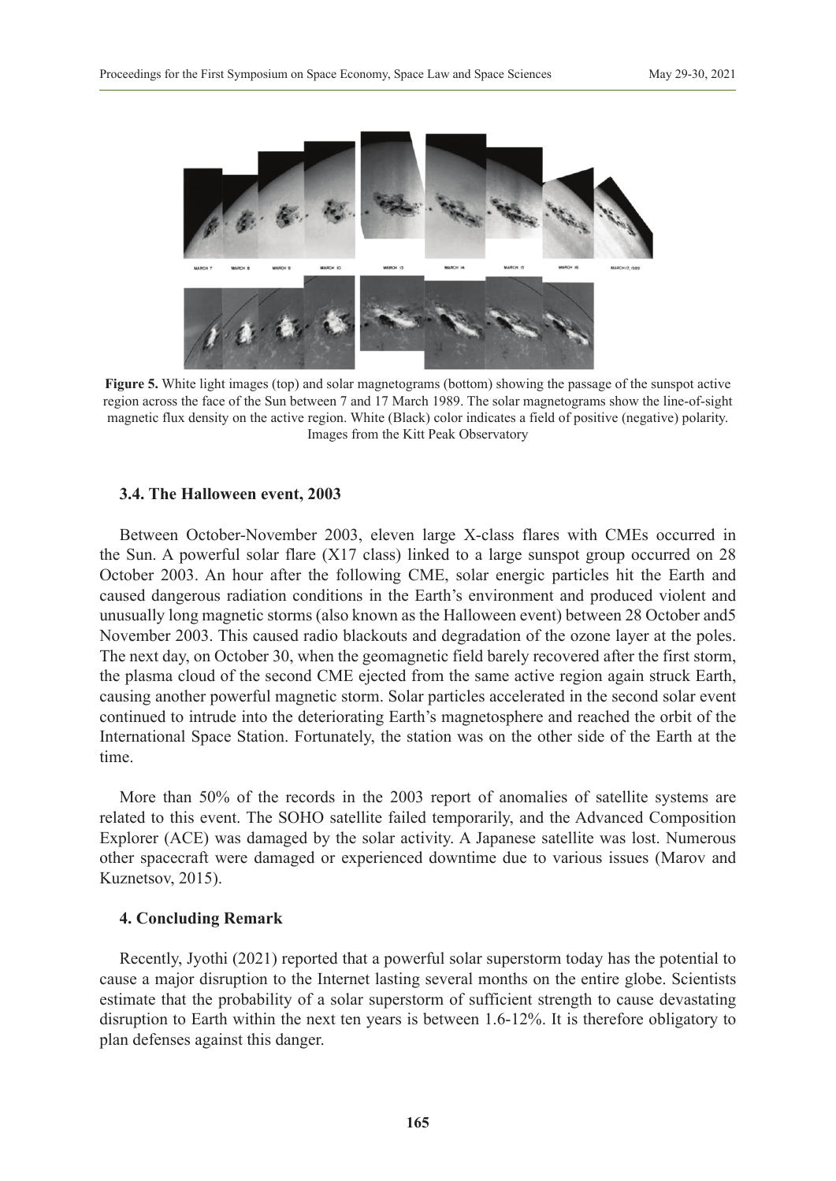

**Figure 5.** White light images (top) and solar magnetograms (bottom) showing the passage of the sunspot active region across the face of the Sun between 7 and 17 March 1989. The solar magnetograms show the line-of-sight magnetic flux density on the active region. White (Black) color indicates a field of positive (negative) polarity. Images from the Kitt Peak Observatory

#### **3.4. The Halloween event, 2003**

Between October-November 2003, eleven large X-class flares with CMEs occurred in the Sun. A powerful solar flare (X17 class) linked to a large sunspot group occurred on 28 October 2003. An hour after the following CME, solar energic particles hit the Earth and caused dangerous radiation conditions in the Earth's environment and produced violent and unusually long magnetic storms (also known as the Halloween event) between 28 October and5 November 2003. This caused radio blackouts and degradation of the ozone layer at the poles. The next day, on October 30, when the geomagnetic field barely recovered after the first storm, the plasma cloud of the second CME ejected from the same active region again struck Earth, causing another powerful magnetic storm. Solar particles accelerated in the second solar event continued to intrude into the deteriorating Earth's magnetosphere and reached the orbit of the International Space Station. Fortunately, the station was on the other side of the Earth at the time.

More than 50% of the records in the 2003 report of anomalies of satellite systems are related to this event. The SOHO satellite failed temporarily, and the Advanced Composition Explorer (ACE) was damaged by the solar activity. A Japanese satellite was lost. Numerous other spacecraft were damaged or experienced downtime due to various issues (Marov and Kuznetsov, 2015).

## **4. Concluding Remark**

Recently, Jyothi (2021) reported that a powerful solar superstorm today has the potential to cause a major disruption to the Internet lasting several months on the entire globe. Scientists estimate that the probability of a solar superstorm of sufficient strength to cause devastating disruption to Earth within the next ten years is between 1.6-12%. It is therefore obligatory to plan defenses against this danger.